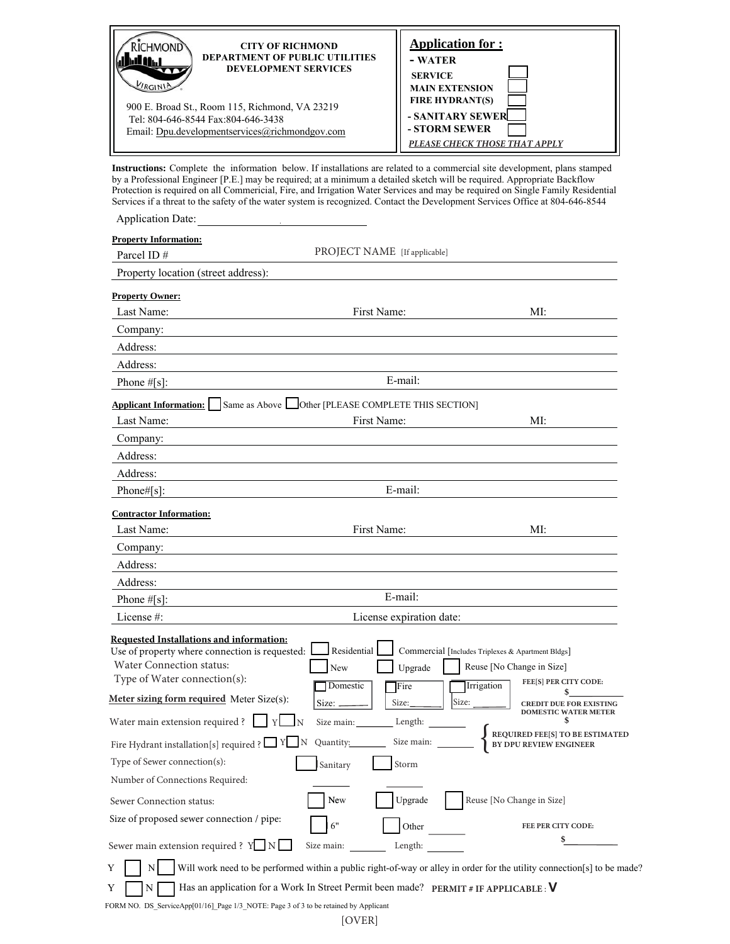| CHMOND                                         | <b>Application for:</b>       |
|------------------------------------------------|-------------------------------|
| <b>CITY OF RICHMOND</b>                        | - WATER                       |
| <b>DEPARTMENT OF PUBLIC UTILITIES</b>          | <b>SERVICE</b>                |
| <b>DEVELOPMENT SERVICES</b>                    | <b>MAIN EXTENSION</b>         |
| YRCIN                                          | <b>FIRE HYDRANT(S)</b>        |
| 900 E. Broad St., Room 115, Richmond, VA 23219 | - SANITARY SEWER              |
| Tel: 804-646-8544 Fax:804-646-3438             | - STORM SEWER                 |
| Email: Dpu.developmentservices@richmondgov.com | PLEASE CHECK THOSE THAT APPLY |

Instructions: Complete the information below. If installations are related to a commercial site development, plans stamped by a Professional Engineer [P.E.] may be required; at a minimum a detailed sketch will be required. Appropriate Backflow Protection is required on all Commericial, Fire, and Irrigation Water Services and may be required on Single Family Residential Services if a threat to the safety of the water system is recognized. Contact the Development Services Office at 804-646-8544

| <b>Application Date:</b>                                                                            |                                                                  |                                                               |
|-----------------------------------------------------------------------------------------------------|------------------------------------------------------------------|---------------------------------------------------------------|
| <b>Property Information:</b><br>Parcel ID#                                                          | PROJECT NAME [If applicable]                                     |                                                               |
| Property location (street address):                                                                 |                                                                  |                                                               |
| <b>Property Owner:</b>                                                                              |                                                                  |                                                               |
| Last Name:                                                                                          | First Name:                                                      | MI:                                                           |
| Company:                                                                                            |                                                                  |                                                               |
| Address:                                                                                            |                                                                  |                                                               |
| Address:                                                                                            |                                                                  |                                                               |
| Phone $\#[s]$ :                                                                                     | E-mail:                                                          |                                                               |
| <b>Applicant Information:</b>                                                                       | Same as Above Other [PLEASE COMPLETE THIS SECTION]               |                                                               |
| Last Name:                                                                                          | First Name:                                                      | MI:                                                           |
| Company:                                                                                            |                                                                  |                                                               |
| Address:                                                                                            |                                                                  |                                                               |
| Address:                                                                                            |                                                                  |                                                               |
| Phone# $[s]$ :                                                                                      | E-mail:                                                          |                                                               |
| <b>Contractor Information:</b>                                                                      |                                                                  |                                                               |
| Last Name:                                                                                          | First Name:                                                      | MI:                                                           |
| Company:                                                                                            |                                                                  |                                                               |
| Address:                                                                                            |                                                                  |                                                               |
| Address:                                                                                            |                                                                  |                                                               |
| Phone #[s]:                                                                                         | E-mail:                                                          |                                                               |
| License $#$ :                                                                                       | License expiration date:                                         |                                                               |
| <b>Requested Installations and information:</b><br>Use of property where connection is requested: L | Residential<br>Commercial [Includes Triplexes & Apartment Bldgs] |                                                               |
| <b>Water Connection status:</b><br>Type of Water connection(s):                                     | Reuse [No Change in Size]<br>New<br>Upgrade                      |                                                               |
|                                                                                                     | Domestic<br>Irrigation<br>Fire                                   | FEE[S] PER CITY CODE:                                         |
| Meter sizing form required Meter Size(s):<br>Water main extension required ?                        | Size:<br>Size:<br>Size: _<br>Y<br>Length:<br>Size main:          | <b>CREDIT DUE FOR EXISTING</b><br><b>DOMESTIC WATER METER</b> |
| Fire Hydrant installation[s] required ? $\Box$ Y N Quantity:                                        |                                                                  | REQUIRED FEE[S] TO BE ESTIMATED<br>BY DPU REVIEW ENGINEER     |
| Type of Sewer connection(s):                                                                        | Storm<br>Sanitary                                                |                                                               |
| Number of Connections Required:                                                                     |                                                                  |                                                               |
| Sewer Connection status:                                                                            | Reuse [No Change in Size]<br>New<br>Upgrade                      |                                                               |
| Size of proposed sewer connection / pipe:                                                           | 6"<br>Other                                                      | FEE PER CITY CODE:                                            |
| Sewer main extension required ? $Y \_ N$                                                            | Size main:<br>Length:                                            |                                                               |

 $Y \parallel N \parallel$  Will work need to be performed within a public right-of-way or alley in order for the utility connection[s] to be made?

N  $\Box$  Has an application for a Work In Street Permit been made? PERMIT # IF APPLICABLE : V  $Y$ 

FORM NO. DS\_ServiceApp[01/16]\_Page 1/3\_NOTE: Page 3 of 3 to be retained by Applicant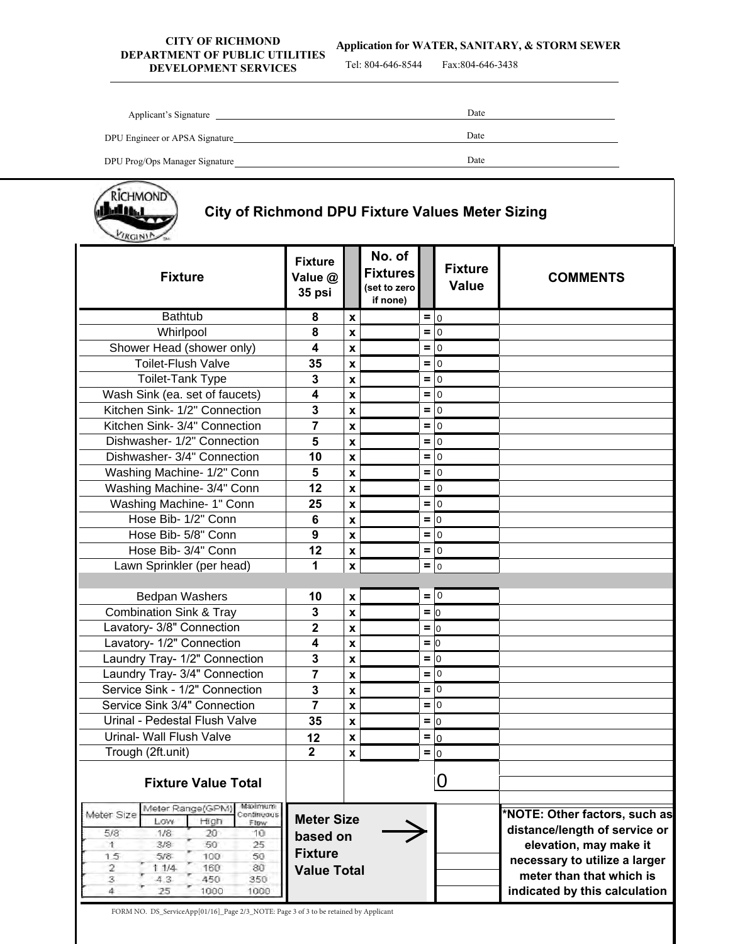## **CITY OF RICHMOND DEPARTMENT OF PUBLIC UTILITIES THERM OF PUBLIC CHEFFIELD**<br>Tel: 804-646-8544 Fax:804-646-3438

**Application for WATER, SANITARY, & STORM SEWER** 

| Applicant's Signature          | Date |
|--------------------------------|------|
| DPU Engineer or APSA Signature | Date |
| DPU Prog/Ops Manager Signature | Date |
|                                |      |



# **City of Richmond DPU Fixture Values Meter Sizing**

| $\sim$                                                                                                                                                                                                                                    |                                                                       |                           |                                                       |               |                                |                                                                                                                                                                                        |
|-------------------------------------------------------------------------------------------------------------------------------------------------------------------------------------------------------------------------------------------|-----------------------------------------------------------------------|---------------------------|-------------------------------------------------------|---------------|--------------------------------|----------------------------------------------------------------------------------------------------------------------------------------------------------------------------------------|
| <b>Fixture</b>                                                                                                                                                                                                                            | <b>Fixture</b><br>Value @<br>35 psi                                   |                           | No. of<br><b>Fixtures</b><br>(set to zero<br>if none) |               | <b>Fixture</b><br><b>Value</b> | <b>COMMENTS</b>                                                                                                                                                                        |
| <b>Bathtub</b>                                                                                                                                                                                                                            | 8                                                                     | $\pmb{\mathsf{x}}$        |                                                       | $= 0$         |                                |                                                                                                                                                                                        |
| Whirlpool                                                                                                                                                                                                                                 | 8                                                                     | $\pmb{\mathsf{x}}$        |                                                       | $= 0$         |                                |                                                                                                                                                                                        |
| Shower Head (shower only)                                                                                                                                                                                                                 | $\overline{\mathbf{4}}$                                               | $\pmb{\mathsf{x}}$        |                                                       | $= 0$         |                                |                                                                                                                                                                                        |
| <b>Toilet-Flush Valve</b>                                                                                                                                                                                                                 | 35                                                                    | $\boldsymbol{x}$          |                                                       | $= 0$         |                                |                                                                                                                                                                                        |
| Toilet-Tank Type                                                                                                                                                                                                                          | 3                                                                     | $\boldsymbol{\mathsf{x}}$ |                                                       | $= 0$         |                                |                                                                                                                                                                                        |
| Wash Sink (ea. set of faucets)                                                                                                                                                                                                            | 4                                                                     | $\pmb{\mathsf{x}}$        |                                                       | $= 0$         |                                |                                                                                                                                                                                        |
| Kitchen Sink- 1/2" Connection                                                                                                                                                                                                             | 3                                                                     | $\pmb{\mathsf{x}}$        |                                                       | $=$ 0         |                                |                                                                                                                                                                                        |
| Kitchen Sink- 3/4" Connection                                                                                                                                                                                                             | 7                                                                     | $\pmb{\mathsf{x}}$        |                                                       | $= 0$         |                                |                                                                                                                                                                                        |
| Dishwasher- 1/2" Connection                                                                                                                                                                                                               | 5                                                                     | $\pmb{\mathsf{x}}$        |                                                       | $=$ 0         |                                |                                                                                                                                                                                        |
| Dishwasher- 3/4" Connection                                                                                                                                                                                                               | 10                                                                    | $\pmb{\mathsf{x}}$        |                                                       | $= 0$         |                                |                                                                                                                                                                                        |
| Washing Machine- 1/2" Conn                                                                                                                                                                                                                | 5                                                                     | $\mathbf x$               |                                                       | $= 0$         |                                |                                                                                                                                                                                        |
| Washing Machine- 3/4" Conn                                                                                                                                                                                                                | 12                                                                    | $\pmb{\mathsf{x}}$        |                                                       | $= 0$         |                                |                                                                                                                                                                                        |
| Washing Machine- 1" Conn                                                                                                                                                                                                                  | 25                                                                    | $\pmb{\mathsf{x}}$        |                                                       | $= 0$         |                                |                                                                                                                                                                                        |
| Hose Bib- 1/2" Conn                                                                                                                                                                                                                       | 6                                                                     | $\boldsymbol{x}$          |                                                       | $=$ $\vert$ 0 |                                |                                                                                                                                                                                        |
| Hose Bib- 5/8" Conn                                                                                                                                                                                                                       | 9                                                                     | $\pmb{\mathsf{x}}$        |                                                       | $= 0$         |                                |                                                                                                                                                                                        |
| Hose Bib- 3/4" Conn                                                                                                                                                                                                                       | 12                                                                    | $\pmb{\mathsf{x}}$        |                                                       | $= 0$         |                                |                                                                                                                                                                                        |
| Lawn Sprinkler (per head)                                                                                                                                                                                                                 | 1                                                                     | $\mathbf x$               |                                                       | $= 0$         |                                |                                                                                                                                                                                        |
|                                                                                                                                                                                                                                           |                                                                       |                           |                                                       |               |                                |                                                                                                                                                                                        |
| <b>Bedpan Washers</b>                                                                                                                                                                                                                     | 10                                                                    | $\pmb{\mathsf{x}}$        |                                                       | $= 0$         |                                |                                                                                                                                                                                        |
| <b>Combination Sink &amp; Tray</b>                                                                                                                                                                                                        | 3                                                                     | $\boldsymbol{x}$          |                                                       | $= 0$         |                                |                                                                                                                                                                                        |
| Lavatory- 3/8" Connection                                                                                                                                                                                                                 | $\overline{\mathbf{2}}$                                               | $\pmb{\mathsf{x}}$        |                                                       | $=$ $\vert$ 0 |                                |                                                                                                                                                                                        |
| Lavatory- 1/2" Connection                                                                                                                                                                                                                 | 4                                                                     | $\boldsymbol{\mathsf{x}}$ |                                                       | $= 0$         |                                |                                                                                                                                                                                        |
| Laundry Tray- 1/2" Connection                                                                                                                                                                                                             | 3                                                                     | $\pmb{\mathsf{x}}$        |                                                       | $= 0$         |                                |                                                                                                                                                                                        |
| Laundry Tray- 3/4" Connection                                                                                                                                                                                                             | $\overline{7}$                                                        | $\pmb{\mathsf{x}}$        |                                                       | $= 0$         |                                |                                                                                                                                                                                        |
| Service Sink - 1/2" Connection                                                                                                                                                                                                            | 3                                                                     | $\pmb{\times}$            |                                                       | $= 0$         |                                |                                                                                                                                                                                        |
| Service Sink 3/4" Connection                                                                                                                                                                                                              | 7                                                                     | $\pmb{\chi}$              |                                                       | $= 0$         |                                |                                                                                                                                                                                        |
| Urinal - Pedestal Flush Valve                                                                                                                                                                                                             | 35                                                                    | $\pmb{\times}$            |                                                       | $= 0$         |                                |                                                                                                                                                                                        |
| Urinal- Wall Flush Valve                                                                                                                                                                                                                  | 12                                                                    | $\pmb{\times}$            |                                                       | $= 0$         |                                |                                                                                                                                                                                        |
| Trough (2ft.unit)                                                                                                                                                                                                                         | $\overline{2}$                                                        | $\pmb{\times}$            |                                                       | $= 0$         |                                |                                                                                                                                                                                        |
|                                                                                                                                                                                                                                           |                                                                       |                           |                                                       |               |                                |                                                                                                                                                                                        |
| <b>Fixture Value Total</b>                                                                                                                                                                                                                |                                                                       |                           |                                                       |               | 0                              |                                                                                                                                                                                        |
| Maximum<br>Meter Range(GPM)<br>Meter Size<br>Continuous<br>Low<br>High<br>Flow<br>5/8<br>1/8<br>20<br>10<br>3/8<br>25<br>T<br>50<br>15<br>5/8<br>100<br>50<br>160<br>80<br>11/4<br>2<br>3<br>450<br>350<br>4.3<br>25<br>1000<br>1000<br>4 | <b>Meter Size</b><br>based on<br><b>Fixture</b><br><b>Value Total</b> |                           |                                                       |               |                                | *NOTE: Other factors, such as<br>distance/length of service or<br>elevation, may make it<br>necessary to utilize a larger<br>meter than that which is<br>indicated by this calculation |

FORM NO. DS\_ServiceApp[01/16]\_Page  $2/3\_$ NOTE: Page  $3$  of  $3$  to be retained by Applicant